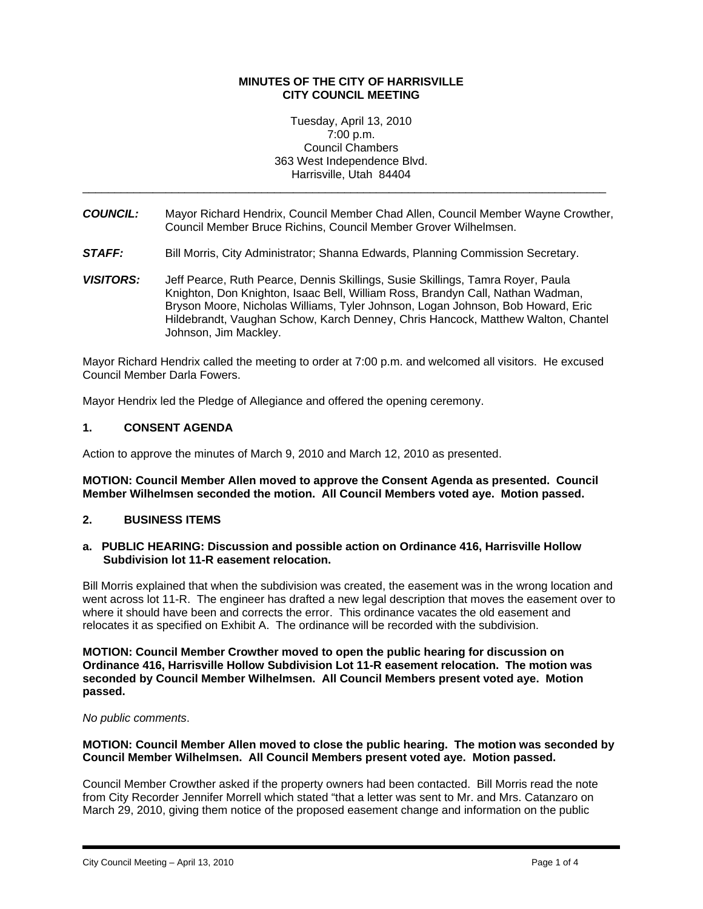### **MINUTES OF THE CITY OF HARRISVILLE CITY COUNCIL MEETING**

#### Tuesday, April 13, 2010 7:00 p.m. Council Chambers 363 West Independence Blvd. Harrisville, Utah 84404

*COUNCIL:* Mayor Richard Hendrix, Council Member Chad Allen, Council Member Wayne Crowther, Council Member Bruce Richins, Council Member Grover Wilhelmsen.

\_\_\_\_\_\_\_\_\_\_\_\_\_\_\_\_\_\_\_\_\_\_\_\_\_\_\_\_\_\_\_\_\_\_\_\_\_\_\_\_\_\_\_\_\_\_\_\_\_\_\_\_\_\_\_\_\_\_\_\_\_\_\_\_\_\_\_\_\_\_\_\_\_\_\_\_\_\_\_\_\_\_

- **STAFF:** Bill Morris, City Administrator; Shanna Edwards, Planning Commission Secretary.
- *VISITORS:* Jeff Pearce, Ruth Pearce, Dennis Skillings, Susie Skillings, Tamra Royer, Paula Knighton, Don Knighton, Isaac Bell, William Ross, Brandyn Call, Nathan Wadman, Bryson Moore, Nicholas Williams, Tyler Johnson, Logan Johnson, Bob Howard, Eric Hildebrandt, Vaughan Schow, Karch Denney, Chris Hancock, Matthew Walton, Chantel Johnson, Jim Mackley.

Mayor Richard Hendrix called the meeting to order at 7:00 p.m. and welcomed all visitors. He excused Council Member Darla Fowers.

Mayor Hendrix led the Pledge of Allegiance and offered the opening ceremony.

## **1. CONSENT AGENDA**

Action to approve the minutes of March 9, 2010 and March 12, 2010 as presented.

#### **MOTION: Council Member Allen moved to approve the Consent Agenda as presented. Council Member Wilhelmsen seconded the motion. All Council Members voted aye. Motion passed.**

### **2. BUSINESS ITEMS**

### **a. PUBLIC HEARING: Discussion and possible action on Ordinance 416, Harrisville Hollow Subdivision lot 11-R easement relocation.**

Bill Morris explained that when the subdivision was created, the easement was in the wrong location and went across lot 11-R. The engineer has drafted a new legal description that moves the easement over to where it should have been and corrects the error. This ordinance vacates the old easement and relocates it as specified on Exhibit A. The ordinance will be recorded with the subdivision.

**MOTION: Council Member Crowther moved to open the public hearing for discussion on Ordinance 416, Harrisville Hollow Subdivision Lot 11-R easement relocation. The motion was seconded by Council Member Wilhelmsen. All Council Members present voted aye. Motion passed.** 

*No public comments*.

### **MOTION: Council Member Allen moved to close the public hearing. The motion was seconded by Council Member Wilhelmsen. All Council Members present voted aye. Motion passed.**

Council Member Crowther asked if the property owners had been contacted. Bill Morris read the note from City Recorder Jennifer Morrell which stated "that a letter was sent to Mr. and Mrs. Catanzaro on March 29, 2010, giving them notice of the proposed easement change and information on the public

i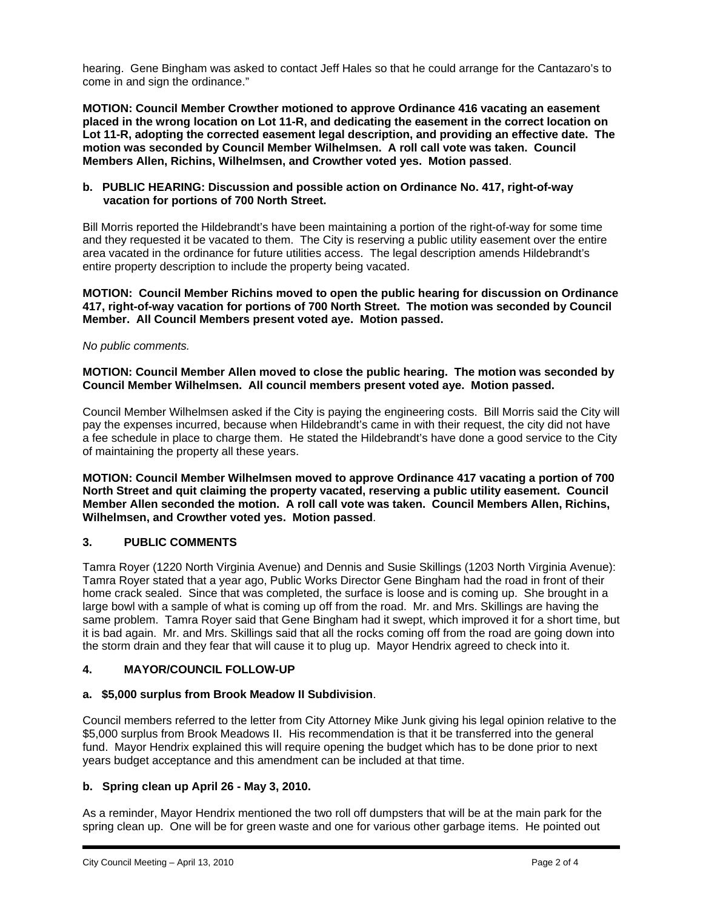hearing. Gene Bingham was asked to contact Jeff Hales so that he could arrange for the Cantazaro's to come in and sign the ordinance."

**MOTION: Council Member Crowther motioned to approve Ordinance 416 vacating an easement placed in the wrong location on Lot 11-R, and dedicating the easement in the correct location on Lot 11-R, adopting the corrected easement legal description, and providing an effective date. The motion was seconded by Council Member Wilhelmsen. A roll call vote was taken. Council Members Allen, Richins, Wilhelmsen, and Crowther voted yes. Motion passed**.

## **b. PUBLIC HEARING: Discussion and possible action on Ordinance No. 417, right-of-way vacation for portions of 700 North Street.**

Bill Morris reported the Hildebrandt's have been maintaining a portion of the right-of-way for some time and they requested it be vacated to them. The City is reserving a public utility easement over the entire area vacated in the ordinance for future utilities access. The legal description amends Hildebrandt's entire property description to include the property being vacated.

## **MOTION: Council Member Richins moved to open the public hearing for discussion on Ordinance 417, right-of-way vacation for portions of 700 North Street. The motion was seconded by Council Member. All Council Members present voted aye. Motion passed.**

### *No public comments.*

## **MOTION: Council Member Allen moved to close the public hearing. The motion was seconded by Council Member Wilhelmsen. All council members present voted aye. Motion passed.**

Council Member Wilhelmsen asked if the City is paying the engineering costs. Bill Morris said the City will pay the expenses incurred, because when Hildebrandt's came in with their request, the city did not have a fee schedule in place to charge them. He stated the Hildebrandt's have done a good service to the City of maintaining the property all these years.

**MOTION: Council Member Wilhelmsen moved to approve Ordinance 417 vacating a portion of 700 North Street and quit claiming the property vacated, reserving a public utility easement. Council Member Allen seconded the motion. A roll call vote was taken. Council Members Allen, Richins, Wilhelmsen, and Crowther voted yes. Motion passed**.

### **3. PUBLIC COMMENTS**

Tamra Royer (1220 North Virginia Avenue) and Dennis and Susie Skillings (1203 North Virginia Avenue): Tamra Royer stated that a year ago, Public Works Director Gene Bingham had the road in front of their home crack sealed. Since that was completed, the surface is loose and is coming up. She brought in a large bowl with a sample of what is coming up off from the road. Mr. and Mrs. Skillings are having the same problem. Tamra Royer said that Gene Bingham had it swept, which improved it for a short time, but it is bad again. Mr. and Mrs. Skillings said that all the rocks coming off from the road are going down into the storm drain and they fear that will cause it to plug up. Mayor Hendrix agreed to check into it.

# **4. MAYOR/COUNCIL FOLLOW-UP**

# **a. \$5,000 surplus from Brook Meadow II Subdivision**.

Council members referred to the letter from City Attorney Mike Junk giving his legal opinion relative to the \$5,000 surplus from Brook Meadows II. His recommendation is that it be transferred into the general fund. Mayor Hendrix explained this will require opening the budget which has to be done prior to next years budget acceptance and this amendment can be included at that time.

# **b. Spring clean up April 26 - May 3, 2010.**

As a reminder, Mayor Hendrix mentioned the two roll off dumpsters that will be at the main park for the spring clean up. One will be for green waste and one for various other garbage items. He pointed out

i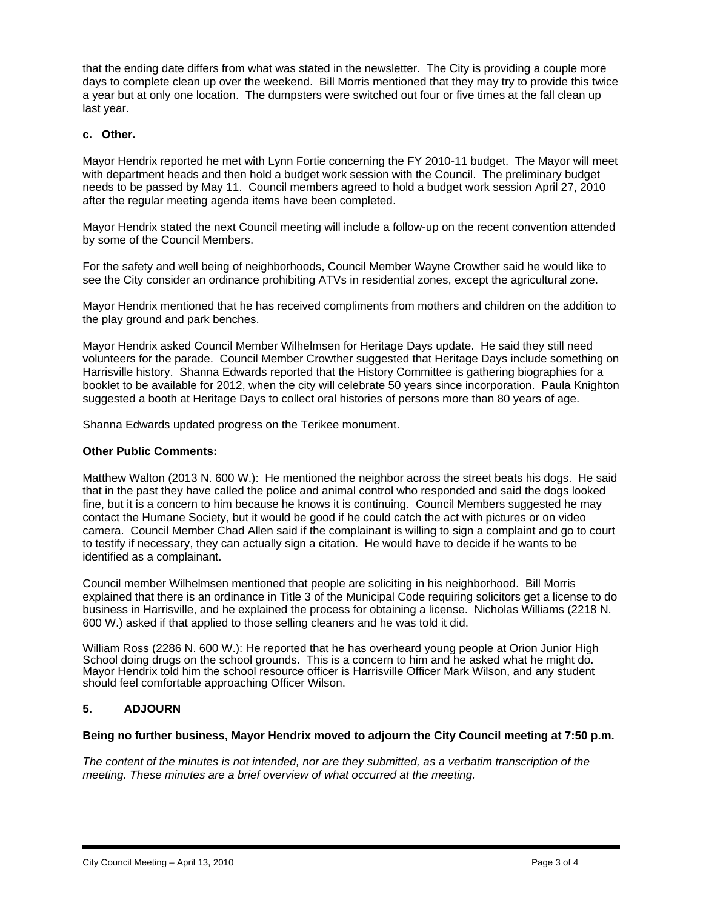that the ending date differs from what was stated in the newsletter. The City is providing a couple more days to complete clean up over the weekend. Bill Morris mentioned that they may try to provide this twice a year but at only one location. The dumpsters were switched out four or five times at the fall clean up last year.

## **c. Other.**

Mayor Hendrix reported he met with Lynn Fortie concerning the FY 2010-11 budget. The Mayor will meet with department heads and then hold a budget work session with the Council. The preliminary budget needs to be passed by May 11. Council members agreed to hold a budget work session April 27, 2010 after the regular meeting agenda items have been completed.

Mayor Hendrix stated the next Council meeting will include a follow-up on the recent convention attended by some of the Council Members.

For the safety and well being of neighborhoods, Council Member Wayne Crowther said he would like to see the City consider an ordinance prohibiting ATVs in residential zones, except the agricultural zone.

Mayor Hendrix mentioned that he has received compliments from mothers and children on the addition to the play ground and park benches.

Mayor Hendrix asked Council Member Wilhelmsen for Heritage Days update. He said they still need volunteers for the parade. Council Member Crowther suggested that Heritage Days include something on Harrisville history. Shanna Edwards reported that the History Committee is gathering biographies for a booklet to be available for 2012, when the city will celebrate 50 years since incorporation. Paula Knighton suggested a booth at Heritage Days to collect oral histories of persons more than 80 years of age.

Shanna Edwards updated progress on the Terikee monument.

### **Other Public Comments:**

Matthew Walton (2013 N. 600 W.): He mentioned the neighbor across the street beats his dogs. He said that in the past they have called the police and animal control who responded and said the dogs looked fine, but it is a concern to him because he knows it is continuing. Council Members suggested he may contact the Humane Society, but it would be good if he could catch the act with pictures or on video camera. Council Member Chad Allen said if the complainant is willing to sign a complaint and go to court to testify if necessary, they can actually sign a citation. He would have to decide if he wants to be identified as a complainant.

Council member Wilhelmsen mentioned that people are soliciting in his neighborhood. Bill Morris explained that there is an ordinance in Title 3 of the Municipal Code requiring solicitors get a license to do business in Harrisville, and he explained the process for obtaining a license. Nicholas Williams (2218 N. 600 W.) asked if that applied to those selling cleaners and he was told it did.

William Ross (2286 N. 600 W.): He reported that he has overheard young people at Orion Junior High School doing drugs on the school grounds. This is a concern to him and he asked what he might do. Mayor Hendrix told him the school resource officer is Harrisville Officer Mark Wilson, and any student should feel comfortable approaching Officer Wilson.

# **5. ADJOURN**

i

### **Being no further business, Mayor Hendrix moved to adjourn the City Council meeting at 7:50 p.m.**

*The content of the minutes is not intended, nor are they submitted, as a verbatim transcription of the meeting. These minutes are a brief overview of what occurred at the meeting.*